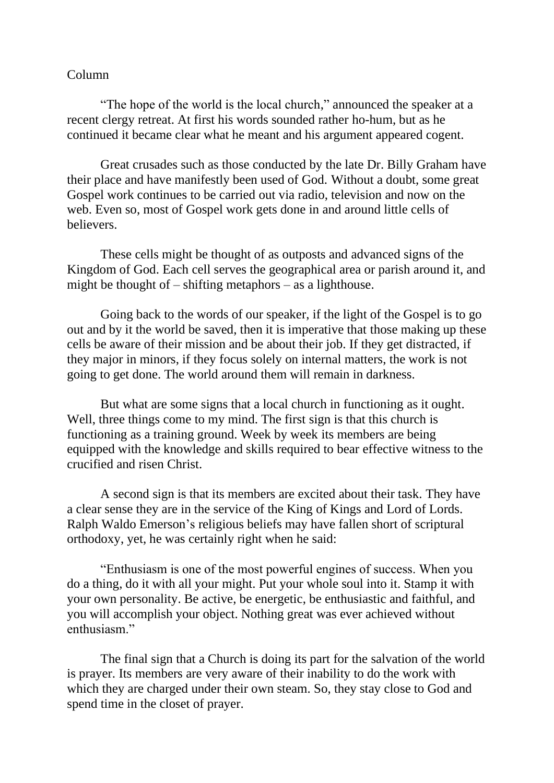## Column

"The hope of the world is the local church," announced the speaker at a recent clergy retreat. At first his words sounded rather ho-hum, but as he continued it became clear what he meant and his argument appeared cogent.

Great crusades such as those conducted by the late Dr. Billy Graham have their place and have manifestly been used of God. Without a doubt, some great Gospel work continues to be carried out via radio, television and now on the web. Even so, most of Gospel work gets done in and around little cells of believers.

These cells might be thought of as outposts and advanced signs of the Kingdom of God. Each cell serves the geographical area or parish around it, and might be thought of – shifting metaphors – as a lighthouse.

Going back to the words of our speaker, if the light of the Gospel is to go out and by it the world be saved, then it is imperative that those making up these cells be aware of their mission and be about their job. If they get distracted, if they major in minors, if they focus solely on internal matters, the work is not going to get done. The world around them will remain in darkness.

But what are some signs that a local church in functioning as it ought. Well, three things come to my mind. The first sign is that this church is functioning as a training ground. Week by week its members are being equipped with the knowledge and skills required to bear effective witness to the crucified and risen Christ.

A second sign is that its members are excited about their task. They have a clear sense they are in the service of the King of Kings and Lord of Lords. Ralph Waldo Emerson's religious beliefs may have fallen short of scriptural orthodoxy, yet, he was certainly right when he said:

"Enthusiasm is one of the most powerful engines of success. When you do a thing, do it with all your might. Put your whole soul into it. Stamp it with your own personality. Be active, be energetic, be enthusiastic and faithful, and you will accomplish your object. Nothing great was ever achieved without enthusiasm."

The final sign that a Church is doing its part for the salvation of the world is prayer. Its members are very aware of their inability to do the work with which they are charged under their own steam. So, they stay close to God and spend time in the closet of prayer.